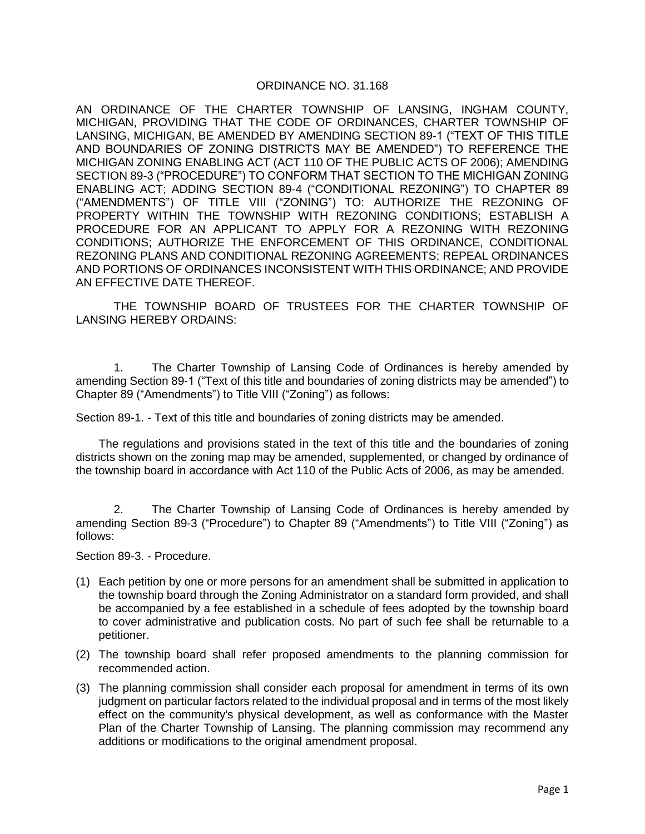# ORDINANCE NO. 31.168

AN ORDINANCE OF THE CHARTER TOWNSHIP OF LANSING, INGHAM COUNTY, MICHIGAN, PROVIDING THAT THE CODE OF ORDINANCES, CHARTER TOWNSHIP OF LANSING, MICHIGAN, BE AMENDED BY AMENDING SECTION 89-1 ("TEXT OF THIS TITLE AND BOUNDARIES OF ZONING DISTRICTS MAY BE AMENDED") TO REFERENCE THE MICHIGAN ZONING ENABLING ACT (ACT 110 OF THE PUBLIC ACTS OF 2006); AMENDING SECTION 89-3 ("PROCEDURE") TO CONFORM THAT SECTION TO THE MICHIGAN ZONING ENABLING ACT; ADDING SECTION 89-4 ("CONDITIONAL REZONING") TO CHAPTER 89 ("AMENDMENTS") OF TITLE VIII ("ZONING") TO: AUTHORIZE THE REZONING OF PROPERTY WITHIN THE TOWNSHIP WITH REZONING CONDITIONS; ESTABLISH A PROCEDURE FOR AN APPLICANT TO APPLY FOR A REZONING WITH REZONING CONDITIONS; AUTHORIZE THE ENFORCEMENT OF THIS ORDINANCE, CONDITIONAL REZONING PLANS AND CONDITIONAL REZONING AGREEMENTS; REPEAL ORDINANCES AND PORTIONS OF ORDINANCES INCONSISTENT WITH THIS ORDINANCE; AND PROVIDE AN EFFECTIVE DATE THEREOF.

THE TOWNSHIP BOARD OF TRUSTEES FOR THE CHARTER TOWNSHIP OF LANSING HEREBY ORDAINS:

1. The Charter Township of Lansing Code of Ordinances is hereby amended by amending Section 89-1 ("Text of this title and boundaries of zoning districts may be amended") to Chapter 89 ("Amendments") to Title VIII ("Zoning") as follows:

Section 89-1. - Text of this title and boundaries of zoning districts may be amended.

The regulations and provisions stated in the text of this title and the boundaries of zoning districts shown on the zoning map may be amended, supplemented, or changed by ordinance of the township board in accordance with Act 110 of the Public Acts of 2006, as may be amended.

2. The Charter Township of Lansing Code of Ordinances is hereby amended by amending Section 89-3 ("Procedure") to Chapter 89 ("Amendments") to Title VIII ("Zoning") as follows:

Section 89-3. - Procedure.

- (1) Each petition by one or more persons for an amendment shall be submitted in application to the township board through the Zoning Administrator on a standard form provided, and shall be accompanied by a fee established in a schedule of fees adopted by the township board to cover administrative and publication costs. No part of such fee shall be returnable to a petitioner.
- (2) The township board shall refer proposed amendments to the planning commission for recommended action.
- (3) The planning commission shall consider each proposal for amendment in terms of its own judgment on particular factors related to the individual proposal and in terms of the most likely effect on the community's physical development, as well as conformance with the Master Plan of the Charter Township of Lansing. The planning commission may recommend any additions or modifications to the original amendment proposal.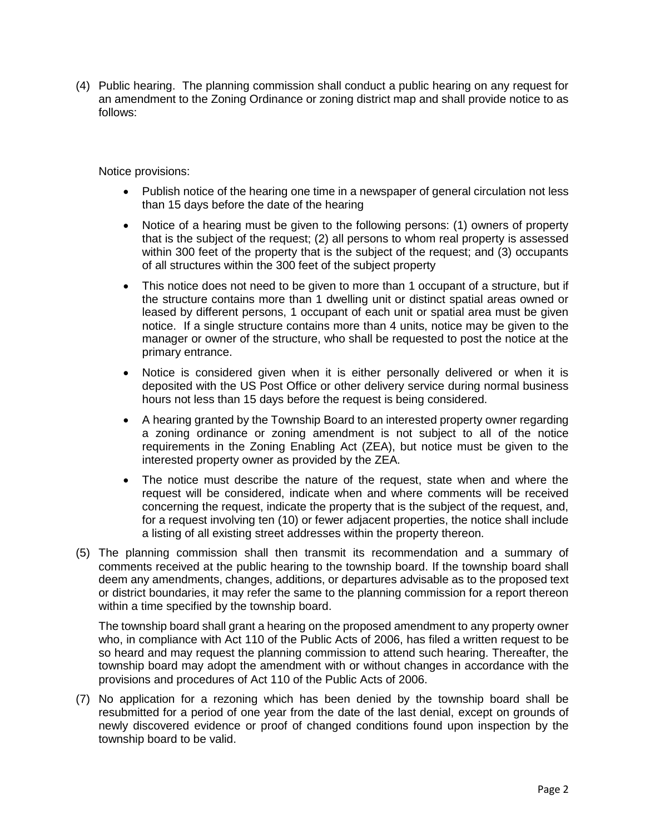(4) Public hearing. The planning commission shall conduct a public hearing on any request for an amendment to the Zoning Ordinance or zoning district map and shall provide notice to as follows:

Notice provisions:

- Publish notice of the hearing one time in a newspaper of general circulation not less than 15 days before the date of the hearing
- Notice of a hearing must be given to the following persons: (1) owners of property that is the subject of the request; (2) all persons to whom real property is assessed within 300 feet of the property that is the subject of the request; and (3) occupants of all structures within the 300 feet of the subject property
- This notice does not need to be given to more than 1 occupant of a structure, but if the structure contains more than 1 dwelling unit or distinct spatial areas owned or leased by different persons, 1 occupant of each unit or spatial area must be given notice. If a single structure contains more than 4 units, notice may be given to the manager or owner of the structure, who shall be requested to post the notice at the primary entrance.
- Notice is considered given when it is either personally delivered or when it is deposited with the US Post Office or other delivery service during normal business hours not less than 15 days before the request is being considered.
- A hearing granted by the Township Board to an interested property owner regarding a zoning ordinance or zoning amendment is not subject to all of the notice requirements in the Zoning Enabling Act (ZEA), but notice must be given to the interested property owner as provided by the ZEA.
- The notice must describe the nature of the request, state when and where the request will be considered, indicate when and where comments will be received concerning the request, indicate the property that is the subject of the request, and, for a request involving ten (10) or fewer adjacent properties, the notice shall include a listing of all existing street addresses within the property thereon.
- (5) The planning commission shall then transmit its recommendation and a summary of comments received at the public hearing to the township board. If the township board shall deem any amendments, changes, additions, or departures advisable as to the proposed text or district boundaries, it may refer the same to the planning commission for a report thereon within a time specified by the township board.

The township board shall grant a hearing on the proposed amendment to any property owner who, in compliance with Act 110 of the Public Acts of 2006, has filed a written request to be so heard and may request the planning commission to attend such hearing. Thereafter, the township board may adopt the amendment with or without changes in accordance with the provisions and procedures of Act 110 of the Public Acts of 2006.

(7) No application for a rezoning which has been denied by the township board shall be resubmitted for a period of one year from the date of the last denial, except on grounds of newly discovered evidence or proof of changed conditions found upon inspection by the township board to be valid.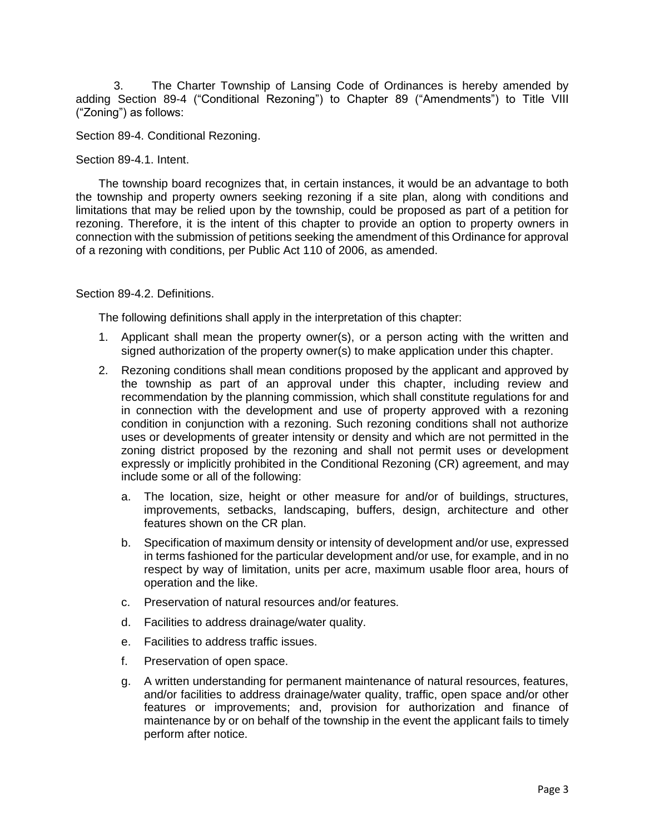3. The Charter Township of Lansing Code of Ordinances is hereby amended by adding Section 89-4 ("Conditional Rezoning") to Chapter 89 ("Amendments") to Title VIII ("Zoning") as follows:

Section 89-4. Conditional Rezoning.

Section 89-4.1. Intent.

The township board recognizes that, in certain instances, it would be an advantage to both the township and property owners seeking rezoning if a site plan, along with conditions and limitations that may be relied upon by the township, could be proposed as part of a petition for rezoning. Therefore, it is the intent of this chapter to provide an option to property owners in connection with the submission of petitions seeking the amendment of this Ordinance for approval of a rezoning with conditions, per Public Act 110 of 2006, as amended.

Section 89-4.2. Definitions.

The following definitions shall apply in the interpretation of this chapter:

- 1. Applicant shall mean the property owner(s), or a person acting with the written and signed authorization of the property owner(s) to make application under this chapter.
- 2. Rezoning conditions shall mean conditions proposed by the applicant and approved by the township as part of an approval under this chapter, including review and recommendation by the planning commission, which shall constitute regulations for and in connection with the development and use of property approved with a rezoning condition in conjunction with a rezoning. Such rezoning conditions shall not authorize uses or developments of greater intensity or density and which are not permitted in the zoning district proposed by the rezoning and shall not permit uses or development expressly or implicitly prohibited in the Conditional Rezoning (CR) agreement, and may include some or all of the following:
	- a. The location, size, height or other measure for and/or of buildings, structures, improvements, setbacks, landscaping, buffers, design, architecture and other features shown on the CR plan.
	- b. Specification of maximum density or intensity of development and/or use, expressed in terms fashioned for the particular development and/or use, for example, and in no respect by way of limitation, units per acre, maximum usable floor area, hours of operation and the like.
	- c. Preservation of natural resources and/or features.
	- d. Facilities to address drainage/water quality.
	- e. Facilities to address traffic issues.
	- f. Preservation of open space.
	- g. A written understanding for permanent maintenance of natural resources, features, and/or facilities to address drainage/water quality, traffic, open space and/or other features or improvements; and, provision for authorization and finance of maintenance by or on behalf of the township in the event the applicant fails to timely perform after notice.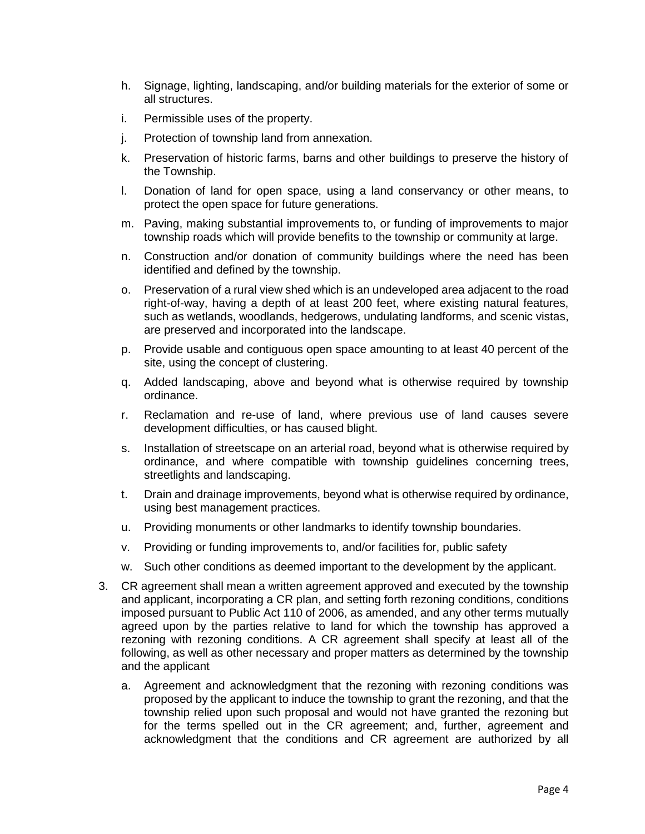- h. Signage, lighting, landscaping, and/or building materials for the exterior of some or all structures.
- i. Permissible uses of the property.
- j. Protection of township land from annexation.
- k. Preservation of historic farms, barns and other buildings to preserve the history of the Township.
- l. Donation of land for open space, using a land conservancy or other means, to protect the open space for future generations.
- m. Paving, making substantial improvements to, or funding of improvements to major township roads which will provide benefits to the township or community at large.
- n. Construction and/or donation of community buildings where the need has been identified and defined by the township.
- o. Preservation of a rural view shed which is an undeveloped area adjacent to the road right-of-way, having a depth of at least 200 feet, where existing natural features, such as wetlands, woodlands, hedgerows, undulating landforms, and scenic vistas, are preserved and incorporated into the landscape.
- p. Provide usable and contiguous open space amounting to at least 40 percent of the site, using the concept of clustering.
- q. Added landscaping, above and beyond what is otherwise required by township ordinance.
- r. Reclamation and re-use of land, where previous use of land causes severe development difficulties, or has caused blight.
- s. Installation of streetscape on an arterial road, beyond what is otherwise required by ordinance, and where compatible with township guidelines concerning trees, streetlights and landscaping.
- t. Drain and drainage improvements, beyond what is otherwise required by ordinance, using best management practices.
- u. Providing monuments or other landmarks to identify township boundaries.
- v. Providing or funding improvements to, and/or facilities for, public safety
- w. Such other conditions as deemed important to the development by the applicant.
- 3. CR agreement shall mean a written agreement approved and executed by the township and applicant, incorporating a CR plan, and setting forth rezoning conditions, conditions imposed pursuant to Public Act 110 of 2006, as amended, and any other terms mutually agreed upon by the parties relative to land for which the township has approved a rezoning with rezoning conditions. A CR agreement shall specify at least all of the following, as well as other necessary and proper matters as determined by the township and the applicant
	- a. Agreement and acknowledgment that the rezoning with rezoning conditions was proposed by the applicant to induce the township to grant the rezoning, and that the township relied upon such proposal and would not have granted the rezoning but for the terms spelled out in the CR agreement; and, further, agreement and acknowledgment that the conditions and CR agreement are authorized by all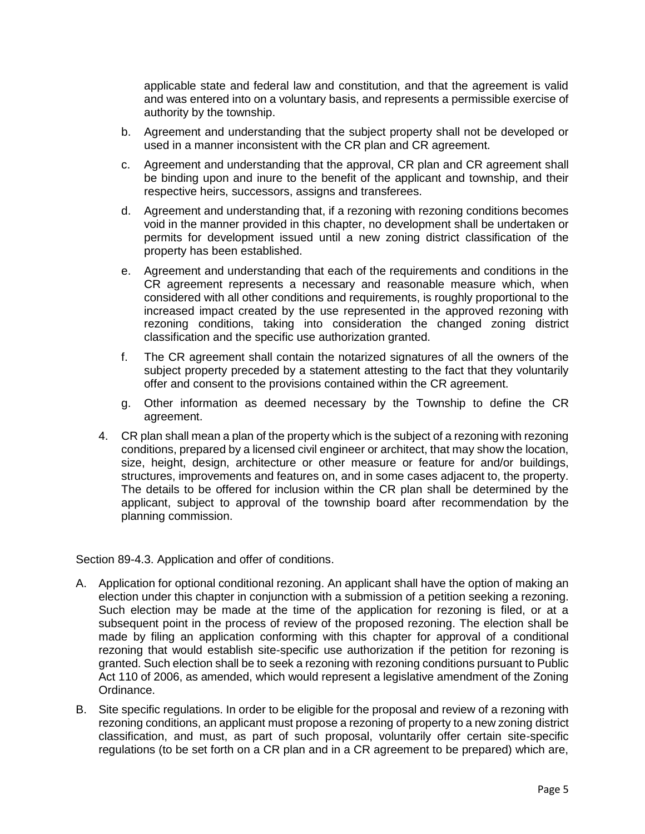applicable state and federal law and constitution, and that the agreement is valid and was entered into on a voluntary basis, and represents a permissible exercise of authority by the township.

- b. Agreement and understanding that the subject property shall not be developed or used in a manner inconsistent with the CR plan and CR agreement.
- c. Agreement and understanding that the approval, CR plan and CR agreement shall be binding upon and inure to the benefit of the applicant and township, and their respective heirs, successors, assigns and transferees.
- d. Agreement and understanding that, if a rezoning with rezoning conditions becomes void in the manner provided in this chapter, no development shall be undertaken or permits for development issued until a new zoning district classification of the property has been established.
- e. Agreement and understanding that each of the requirements and conditions in the CR agreement represents a necessary and reasonable measure which, when considered with all other conditions and requirements, is roughly proportional to the increased impact created by the use represented in the approved rezoning with rezoning conditions, taking into consideration the changed zoning district classification and the specific use authorization granted.
- f. The CR agreement shall contain the notarized signatures of all the owners of the subject property preceded by a statement attesting to the fact that they voluntarily offer and consent to the provisions contained within the CR agreement.
- g. Other information as deemed necessary by the Township to define the CR agreement.
- 4. CR plan shall mean a plan of the property which is the subject of a rezoning with rezoning conditions, prepared by a licensed civil engineer or architect, that may show the location, size, height, design, architecture or other measure or feature for and/or buildings, structures, improvements and features on, and in some cases adjacent to, the property. The details to be offered for inclusion within the CR plan shall be determined by the applicant, subject to approval of the township board after recommendation by the planning commission.

Section 89-4.3. Application and offer of conditions.

- A. Application for optional conditional rezoning. An applicant shall have the option of making an election under this chapter in conjunction with a submission of a petition seeking a rezoning. Such election may be made at the time of the application for rezoning is filed, or at a subsequent point in the process of review of the proposed rezoning. The election shall be made by filing an application conforming with this chapter for approval of a conditional rezoning that would establish site-specific use authorization if the petition for rezoning is granted. Such election shall be to seek a rezoning with rezoning conditions pursuant to Public Act 110 of 2006, as amended, which would represent a legislative amendment of the Zoning Ordinance.
- B. Site specific regulations. In order to be eligible for the proposal and review of a rezoning with rezoning conditions, an applicant must propose a rezoning of property to a new zoning district classification, and must, as part of such proposal, voluntarily offer certain site-specific regulations (to be set forth on a CR plan and in a CR agreement to be prepared) which are,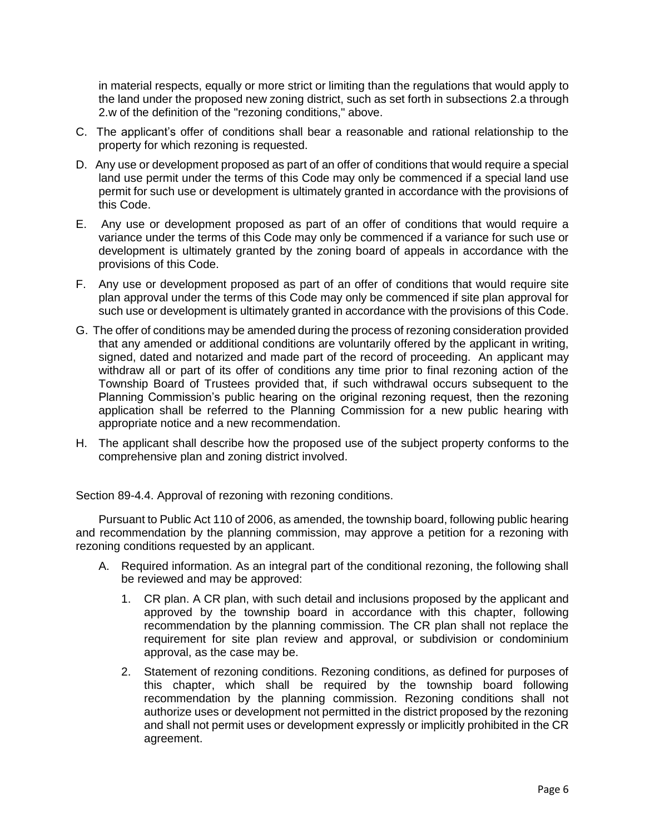in material respects, equally or more strict or limiting than the regulations that would apply to the land under the proposed new zoning district, such as set forth in subsections 2.a through 2.w of the definition of the "rezoning conditions," above.

- C. The applicant's offer of conditions shall bear a reasonable and rational relationship to the property for which rezoning is requested.
- D. Any use or development proposed as part of an offer of conditions that would require a special land use permit under the terms of this Code may only be commenced if a special land use permit for such use or development is ultimately granted in accordance with the provisions of this Code.
- E. Any use or development proposed as part of an offer of conditions that would require a variance under the terms of this Code may only be commenced if a variance for such use or development is ultimately granted by the zoning board of appeals in accordance with the provisions of this Code.
- F. Any use or development proposed as part of an offer of conditions that would require site plan approval under the terms of this Code may only be commenced if site plan approval for such use or development is ultimately granted in accordance with the provisions of this Code.
- G. The offer of conditions may be amended during the process of rezoning consideration provided that any amended or additional conditions are voluntarily offered by the applicant in writing, signed, dated and notarized and made part of the record of proceeding. An applicant may withdraw all or part of its offer of conditions any time prior to final rezoning action of the Township Board of Trustees provided that, if such withdrawal occurs subsequent to the Planning Commission's public hearing on the original rezoning request, then the rezoning application shall be referred to the Planning Commission for a new public hearing with appropriate notice and a new recommendation.
- H. The applicant shall describe how the proposed use of the subject property conforms to the comprehensive plan and zoning district involved.

Section 89-4.4. Approval of rezoning with rezoning conditions.

Pursuant to Public Act 110 of 2006, as amended, the township board, following public hearing and recommendation by the planning commission, may approve a petition for a rezoning with rezoning conditions requested by an applicant.

- A. Required information. As an integral part of the conditional rezoning, the following shall be reviewed and may be approved:
	- 1. CR plan. A CR plan, with such detail and inclusions proposed by the applicant and approved by the township board in accordance with this chapter, following recommendation by the planning commission. The CR plan shall not replace the requirement for site plan review and approval, or subdivision or condominium approval, as the case may be.
	- 2. Statement of rezoning conditions. Rezoning conditions, as defined for purposes of this chapter, which shall be required by the township board following recommendation by the planning commission. Rezoning conditions shall not authorize uses or development not permitted in the district proposed by the rezoning and shall not permit uses or development expressly or implicitly prohibited in the CR agreement.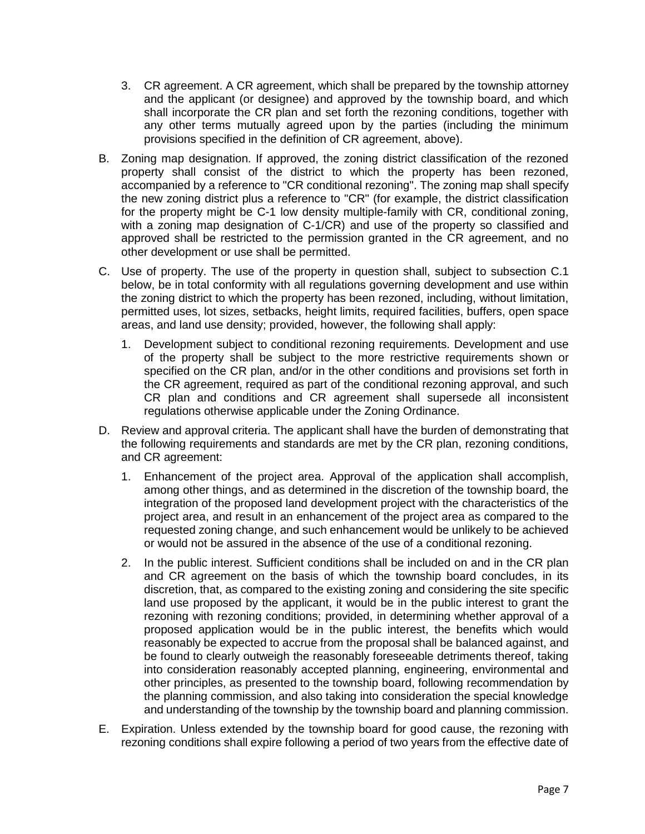- 3. CR agreement. A CR agreement, which shall be prepared by the township attorney and the applicant (or designee) and approved by the township board, and which shall incorporate the CR plan and set forth the rezoning conditions, together with any other terms mutually agreed upon by the parties (including the minimum provisions specified in the definition of CR agreement, above).
- B. Zoning map designation. If approved, the zoning district classification of the rezoned property shall consist of the district to which the property has been rezoned, accompanied by a reference to "CR conditional rezoning". The zoning map shall specify the new zoning district plus a reference to "CR" (for example, the district classification for the property might be C-1 low density multiple-family with CR, conditional zoning, with a zoning map designation of C-1/CR) and use of the property so classified and approved shall be restricted to the permission granted in the CR agreement, and no other development or use shall be permitted.
- C. Use of property. The use of the property in question shall, subject to subsection C.1 below, be in total conformity with all regulations governing development and use within the zoning district to which the property has been rezoned, including, without limitation, permitted uses, lot sizes, setbacks, height limits, required facilities, buffers, open space areas, and land use density; provided, however, the following shall apply:
	- 1. Development subject to conditional rezoning requirements. Development and use of the property shall be subject to the more restrictive requirements shown or specified on the CR plan, and/or in the other conditions and provisions set forth in the CR agreement, required as part of the conditional rezoning approval, and such CR plan and conditions and CR agreement shall supersede all inconsistent regulations otherwise applicable under the Zoning Ordinance.
- D. Review and approval criteria. The applicant shall have the burden of demonstrating that the following requirements and standards are met by the CR plan, rezoning conditions, and CR agreement:
	- 1. Enhancement of the project area. Approval of the application shall accomplish, among other things, and as determined in the discretion of the township board, the integration of the proposed land development project with the characteristics of the project area, and result in an enhancement of the project area as compared to the requested zoning change, and such enhancement would be unlikely to be achieved or would not be assured in the absence of the use of a conditional rezoning.
	- 2. In the public interest. Sufficient conditions shall be included on and in the CR plan and CR agreement on the basis of which the township board concludes, in its discretion, that, as compared to the existing zoning and considering the site specific land use proposed by the applicant, it would be in the public interest to grant the rezoning with rezoning conditions; provided, in determining whether approval of a proposed application would be in the public interest, the benefits which would reasonably be expected to accrue from the proposal shall be balanced against, and be found to clearly outweigh the reasonably foreseeable detriments thereof, taking into consideration reasonably accepted planning, engineering, environmental and other principles, as presented to the township board, following recommendation by the planning commission, and also taking into consideration the special knowledge and understanding of the township by the township board and planning commission.
- E. Expiration. Unless extended by the township board for good cause, the rezoning with rezoning conditions shall expire following a period of two years from the effective date of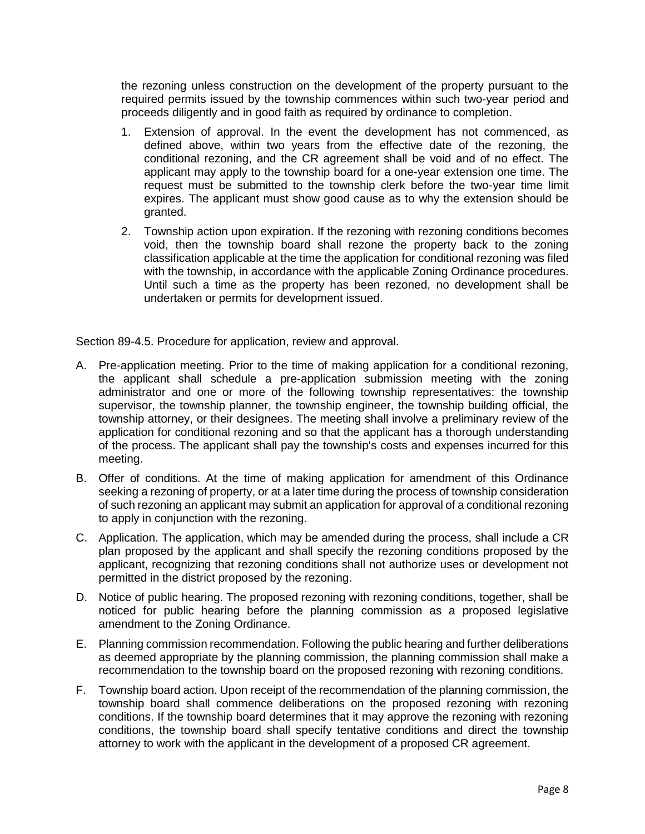the rezoning unless construction on the development of the property pursuant to the required permits issued by the township commences within such two-year period and proceeds diligently and in good faith as required by ordinance to completion.

- 1. Extension of approval. In the event the development has not commenced, as defined above, within two years from the effective date of the rezoning, the conditional rezoning, and the CR agreement shall be void and of no effect. The applicant may apply to the township board for a one-year extension one time. The request must be submitted to the township clerk before the two-year time limit expires. The applicant must show good cause as to why the extension should be granted.
- 2. Township action upon expiration. If the rezoning with rezoning conditions becomes void, then the township board shall rezone the property back to the zoning classification applicable at the time the application for conditional rezoning was filed with the township, in accordance with the applicable Zoning Ordinance procedures. Until such a time as the property has been rezoned, no development shall be undertaken or permits for development issued.

Section 89-4.5. Procedure for application, review and approval.

- A. Pre-application meeting. Prior to the time of making application for a conditional rezoning, the applicant shall schedule a pre-application submission meeting with the zoning administrator and one or more of the following township representatives: the township supervisor, the township planner, the township engineer, the township building official, the township attorney, or their designees. The meeting shall involve a preliminary review of the application for conditional rezoning and so that the applicant has a thorough understanding of the process. The applicant shall pay the township's costs and expenses incurred for this meeting.
- B. Offer of conditions. At the time of making application for amendment of this Ordinance seeking a rezoning of property, or at a later time during the process of township consideration of such rezoning an applicant may submit an application for approval of a conditional rezoning to apply in conjunction with the rezoning.
- C. Application. The application, which may be amended during the process, shall include a CR plan proposed by the applicant and shall specify the rezoning conditions proposed by the applicant, recognizing that rezoning conditions shall not authorize uses or development not permitted in the district proposed by the rezoning.
- D. Notice of public hearing. The proposed rezoning with rezoning conditions, together, shall be noticed for public hearing before the planning commission as a proposed legislative amendment to the Zoning Ordinance.
- E. Planning commission recommendation. Following the public hearing and further deliberations as deemed appropriate by the planning commission, the planning commission shall make a recommendation to the township board on the proposed rezoning with rezoning conditions.
- F. Township board action. Upon receipt of the recommendation of the planning commission, the township board shall commence deliberations on the proposed rezoning with rezoning conditions. If the township board determines that it may approve the rezoning with rezoning conditions, the township board shall specify tentative conditions and direct the township attorney to work with the applicant in the development of a proposed CR agreement.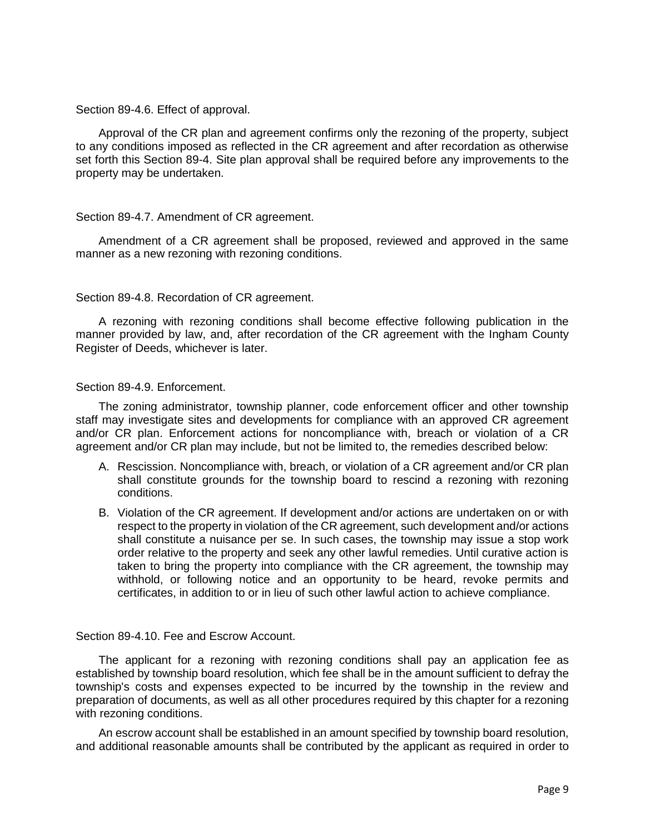Section 89-4.6. Effect of approval.

Approval of the CR plan and agreement confirms only the rezoning of the property, subject to any conditions imposed as reflected in the CR agreement and after recordation as otherwise set forth this Section 89-4. Site plan approval shall be required before any improvements to the property may be undertaken.

### Section 89-4.7. Amendment of CR agreement.

Amendment of a CR agreement shall be proposed, reviewed and approved in the same manner as a new rezoning with rezoning conditions.

### Section 89-4.8. Recordation of CR agreement.

A rezoning with rezoning conditions shall become effective following publication in the manner provided by law, and, after recordation of the CR agreement with the Ingham County Register of Deeds, whichever is later.

### Section 89-4.9. Enforcement.

The zoning administrator, township planner, code enforcement officer and other township staff may investigate sites and developments for compliance with an approved CR agreement and/or CR plan. Enforcement actions for noncompliance with, breach or violation of a CR agreement and/or CR plan may include, but not be limited to, the remedies described below:

- A. Rescission. Noncompliance with, breach, or violation of a CR agreement and/or CR plan shall constitute grounds for the township board to rescind a rezoning with rezoning conditions.
- B. Violation of the CR agreement. If development and/or actions are undertaken on or with respect to the property in violation of the CR agreement, such development and/or actions shall constitute a nuisance per se. In such cases, the township may issue a stop work order relative to the property and seek any other lawful remedies. Until curative action is taken to bring the property into compliance with the CR agreement, the township may withhold, or following notice and an opportunity to be heard, revoke permits and certificates, in addition to or in lieu of such other lawful action to achieve compliance.

# Section 89-4.10. Fee and Escrow Account.

The applicant for a rezoning with rezoning conditions shall pay an application fee as established by township board resolution, which fee shall be in the amount sufficient to defray the township's costs and expenses expected to be incurred by the township in the review and preparation of documents, as well as all other procedures required by this chapter for a rezoning with rezoning conditions.

An escrow account shall be established in an amount specified by township board resolution, and additional reasonable amounts shall be contributed by the applicant as required in order to